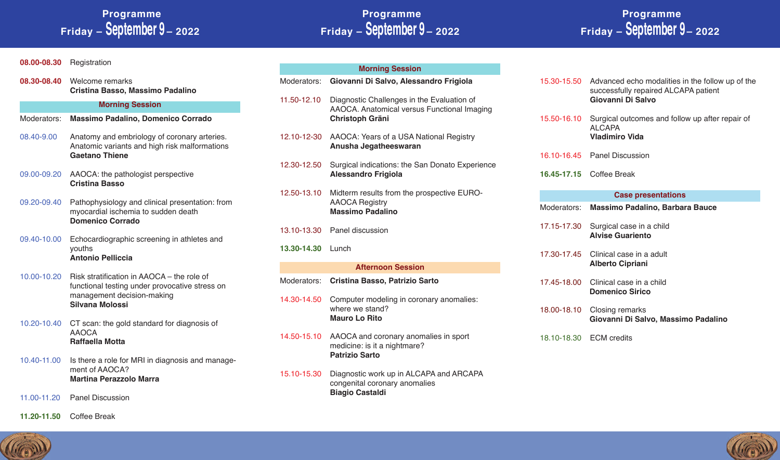## **Programme Friday – September 9 – 2022**

## **Programme Friday – September 9 – 2022**

## **Programme Friday – September 9 – 2022**

#### **08.00-08.30** Registration

**08.30-08.40** Welcome remarks **Cristina Basso, Massimo Padalino**

#### **Morning Session**

- Moderators: **Massimo Padalino, Domenico Corrado**
- 08.40-9.00 Anatomy and embriology of coronary arteries. Anatomic variants and high risk malformations **Gaetano Thiene**
- 09.00-09.20 AAOCA: the pathologist perspective **Cristina Basso**
- 09.20-09.40 Pathophysiology and clinical presentation: from myocardial ischemia to sudden death **Domenico Corrado**
- 09.40-10.00 Echocardiographic screening in athletes and youths **Antonio Pelliccia**
- 10.00-10.20 Risk stratification in AAOCA the role of functional testing under provocative stress on management decision-making **Silvana Molossi**
- 10.20-10.40 CT scan: the gold standard for diagnosis of AAOCA **Raffaella Motta**
- 10.40-11.00 Is there a role for MRI in diagnosis and management of AAOCA? **Martina Perazzolo Marra**
- 11.00-11.20 Panel Discussion
- **11.20-11.50** Coffee Break

| <b>Morning Session</b>   |                                                                                                                     |  |
|--------------------------|---------------------------------------------------------------------------------------------------------------------|--|
| Moderators:              | Giovanni Di Salvo, Alessandro Frigiola                                                                              |  |
| 11.50-12.10              | Diagnostic Challenges in the Evaluation of<br>AAOCA. Anatomical versus Functional Imaging<br><b>Christoph Gräni</b> |  |
| 12.10-12-30              | AAOCA: Years of a USA National Registry<br>Anusha Jegatheeswaran                                                    |  |
| 12.30-12.50              | Surgical indications: the San Donato Experience<br><b>Alessandro Frigiola</b>                                       |  |
| 12.50-13.10              | Midterm results from the prospective EURO-<br><b>AAOCA Registry</b><br><b>Massimo Padalino</b>                      |  |
| 13.10-13.30              | Panel discussion                                                                                                    |  |
| 13.30-14.30              | Lunch                                                                                                               |  |
| <b>Afternoon Session</b> |                                                                                                                     |  |
| Moderators:              | Cristina Basso, Patrizio Sarto                                                                                      |  |
| 14.30-14.50              | Computer modeling in coronary anomalies:<br>where we stand?<br><b>Mauro Lo Rito</b>                                 |  |
| 14.50-15.10              | AAOCA and coronary anomalies in sport<br>medicine: is it a nightmare?<br><b>Patrizio Sarto</b>                      |  |

15.10-15.30 Diagnostic work up in ALCAPA and ARCAPA congenital coronary anomalies **Biagio Castaldi**

- 15.30-15.50 Advanced echo modalities in the follow up of the successfully repaired ALCAPA patient **Giovanni Di Salvo**
- 15.50-16.10 Surgical outcomes and follow up after repair of ALCAPA **Vladimiro Vida**
- 16.10-16.45 Panel Discussion
- **16.45-17.15** Coffee Break

#### **Case presentations**

|             | Moderators: Massimo Padalino, Barbara Bauce                     |
|-------------|-----------------------------------------------------------------|
| 17.15-17.30 | Surgical case in a child<br><b>Alvise Guariento</b>             |
|             | 17.30-17.45 Clinical case in a adult<br><b>Alberto Cipriani</b> |
| 17.45-18.00 | Clinical case in a child<br><b>Domenico Sirico</b>              |
| 18.00-18.10 | Closing remarks<br>Giovanni Di Salvo, Massimo Padalino          |
| 18.10-18.30 | <b>ECM</b> credits                                              |